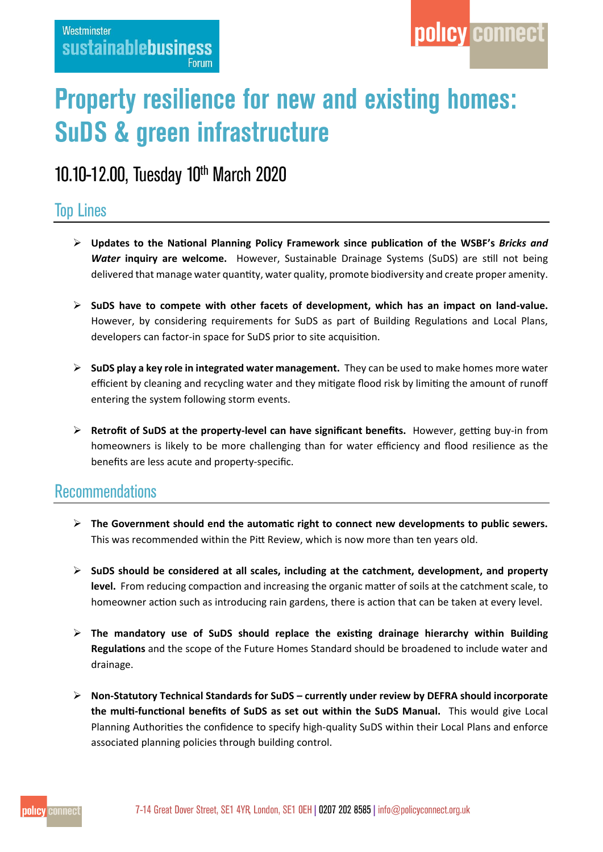# **Property resilience for new and existing homes: SuDS & green infrastructure**

## 10.10-12.00, Tuesday 10th March 2020

## **Top Lines**

- **Updates to the National Planning Policy Framework since publication of the WSBF's** *Bricks and Water* **inquiry are welcome.** However, Sustainable Drainage Systems (SuDS) are still not being delivered that manage water quantity, water quality, promote biodiversity and create proper amenity.
- **SuDS have to compete with other facets of development, which has an impact on land-value.** However, by considering requirements for SuDS as part of Building Regulations and Local Plans, developers can factor-in space for SuDS prior to site acquisition.
- **SuDS play a key role in integrated water management.** They can be used to make homes more water efficient by cleaning and recycling water and they mitigate flood risk by limiting the amount of runoff entering the system following storm events.
- **Retrofit of SuDS at the property-level can have significant benefits.** However, getting buy-in from homeowners is likely to be more challenging than for water efficiency and flood resilience as the benefits are less acute and property-specific.

## **Recommendations**

- **The Government should end the automatic right to connect new developments to public sewers.**  This was recommended within the Pitt Review, which is now more than ten years old.
- **SuDS should be considered at all scales, including at the catchment, development, and property level.** From reducing compaction and increasing the organic matter of soils at the catchment scale, to homeowner action such as introducing rain gardens, there is action that can be taken at every level.
- **The mandatory use of SuDS should replace the existing drainage hierarchy within Building Regulations** and the scope of the Future Homes Standard should be broadened to include water and drainage.
- **Non-Statutory Technical Standards for SuDS – currently under review by DEFRA should incorporate the multi-functional benefits of SuDS as set out within the SuDS Manual.** This would give Local Planning Authorities the confidence to specify high-quality SuDS within their Local Plans and enforce associated planning policies through building control.

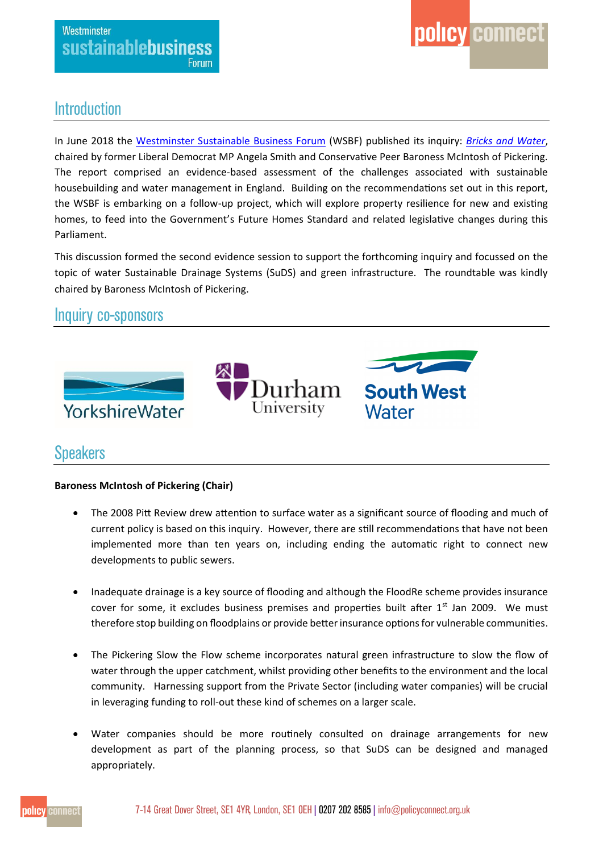

## **Introduction**

In June 2018 the [Westminster Sustainable Business Forum](https://www.policyconnect.org.uk/wsbf/) (WSBF) published its inquiry: *[Bricks and Water](https://www.policyconnect.org.uk/research/bricks-water-plan-action-building-homes-and-managing-water-england)*, chaired by former Liberal Democrat MP Angela Smith and Conservative Peer Baroness McIntosh of Pickering. The report comprised an evidence-based assessment of the challenges associated with sustainable housebuilding and water management in England. Building on the recommendations set out in this report, the WSBF is embarking on a follow-up project, which will explore property resilience for new and existing homes, to feed into the Government's Future Homes Standard and related legislative changes during this Parliament.

This discussion formed the second evidence session to support the forthcoming inquiry and focussed on the topic of water Sustainable Drainage Systems (SuDS) and green infrastructure. The roundtable was kindly chaired by Baroness McIntosh of Pickering.

## Inquiry co-sponsors



## **Speakers**

#### **Baroness McIntosh of Pickering (Chair)**

- The 2008 Pitt Review drew attention to surface water as a significant source of flooding and much of current policy is based on this inquiry. However, there are still recommendations that have not been implemented more than ten years on, including ending the automatic right to connect new developments to public sewers.
- Inadequate drainage is a key source of flooding and although the FloodRe scheme provides insurance cover for some, it excludes business premises and properties built after  $1<sup>st</sup>$  Jan 2009. We must therefore stop building on floodplains or provide better insurance options for vulnerable communities.
- The Pickering Slow the Flow scheme incorporates natural green infrastructure to slow the flow of water through the upper catchment, whilst providing other benefits to the environment and the local community. Harnessing support from the Private Sector (including water companies) will be crucial in leveraging funding to roll-out these kind of schemes on a larger scale.
- Water companies should be more routinely consulted on drainage arrangements for new development as part of the planning process, so that SuDS can be designed and managed appropriately.

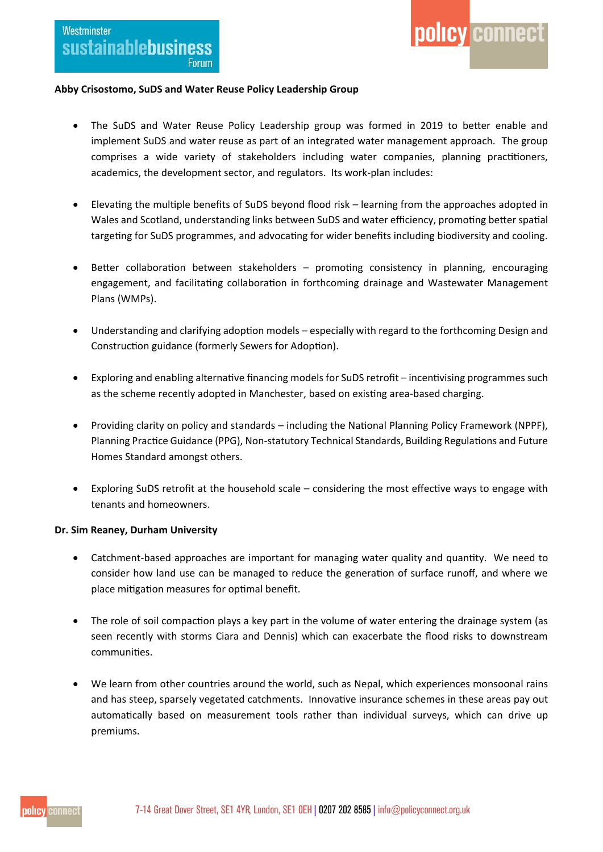#### **Abby Crisostomo, SuDS and Water Reuse Policy Leadership Group**

 The SuDS and Water Reuse Policy Leadership group was formed in 2019 to better enable and implement SuDS and water reuse as part of an integrated water management approach. The group comprises a wide variety of stakeholders including water companies, planning practitioners, academics, the development sector, and regulators. Its work-plan includes:

policy connect

- Elevating the multiple benefits of SuDS beyond flood risk learning from the approaches adopted in Wales and Scotland, understanding links between SuDS and water efficiency, promoting better spatial targeting for SuDS programmes, and advocating for wider benefits including biodiversity and cooling.
- Better collaboration between stakeholders promoting consistency in planning, encouraging engagement, and facilitating collaboration in forthcoming drainage and Wastewater Management Plans (WMPs).
- Understanding and clarifying adoption models especially with regard to the forthcoming Design and Construction guidance (formerly Sewers for Adoption).
- Exploring and enabling alternative financing models for SuDS retrofit incentivising programmes such as the scheme recently adopted in Manchester, based on existing area-based charging.
- Providing clarity on policy and standards including the National Planning Policy Framework (NPPF), Planning Practice Guidance (PPG), Non-statutory Technical Standards, Building Regulations and Future Homes Standard amongst others.
- Exploring SuDS retrofit at the household scale considering the most effective ways to engage with tenants and homeowners.

#### **Dr. Sim Reaney, Durham University**

- Catchment-based approaches are important for managing water quality and quantity. We need to consider how land use can be managed to reduce the generation of surface runoff, and where we place mitigation measures for optimal benefit.
- The role of soil compaction plays a key part in the volume of water entering the drainage system (as seen recently with storms Ciara and Dennis) which can exacerbate the flood risks to downstream communities.
- We learn from other countries around the world, such as Nepal, which experiences monsoonal rains and has steep, sparsely vegetated catchments. Innovative insurance schemes in these areas pay out automatically based on measurement tools rather than individual surveys, which can drive up premiums.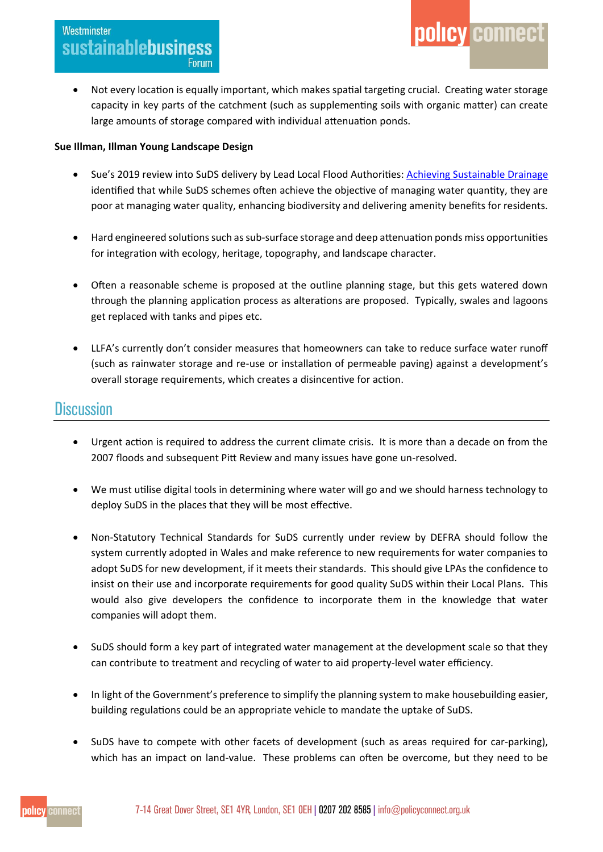Not every location is equally important, which makes spatial targeting crucial. Creating water storage capacity in key parts of the catchment (such as supplementing soils with organic matter) can create large amounts of storage compared with individual attenuation ponds.

policy connect

#### **Sue Illman, Illman Young Landscape Design**

- Sue's 2019 review into SuDS delivery by Lead Local Flood Authorities: [Achieving Sustainable Drainage](https://landscapewpstorage01.blob.core.windows.net/www-landscapeinstitute-org/2019/01/11689_LI_SuDS-Report_v4a-Web.pdf) identified that while SuDS schemes often achieve the objective of managing water quantity, they are poor at managing water quality, enhancing biodiversity and delivering amenity benefits for residents.
- Hard engineered solutions such as sub-surface storage and deep attenuation ponds miss opportunities for integration with ecology, heritage, topography, and landscape character.
- Often a reasonable scheme is proposed at the outline planning stage, but this gets watered down through the planning application process as alterations are proposed. Typically, swales and lagoons get replaced with tanks and pipes etc.
- LLFA's currently don't consider measures that homeowners can take to reduce surface water runoff (such as rainwater storage and re-use or installation of permeable paving) against a development's overall storage requirements, which creates a disincentive for action.

### **Discussion**

- Urgent action is required to address the current climate crisis. It is more than a decade on from the 2007 floods and subsequent Pitt Review and many issues have gone un-resolved.
- We must utilise digital tools in determining where water will go and we should harness technology to deploy SuDS in the places that they will be most effective.
- Non-Statutory Technical Standards for SuDS currently under review by DEFRA should follow the system currently adopted in Wales and make reference to new requirements for water companies to adopt SuDS for new development, if it meets their standards. This should give LPAs the confidence to insist on their use and incorporate requirements for good quality SuDS within their Local Plans. This would also give developers the confidence to incorporate them in the knowledge that water companies will adopt them.
- SuDS should form a key part of integrated water management at the development scale so that they can contribute to treatment and recycling of water to aid property-level water efficiency.
- In light of the Government's preference to simplify the planning system to make housebuilding easier, building regulations could be an appropriate vehicle to mandate the uptake of SuDS.
- SuDS have to compete with other facets of development (such as areas required for car-parking), which has an impact on land-value. These problems can often be overcome, but they need to be